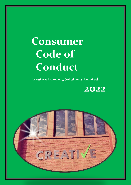# **Consumer Code of Conduct**

**Creative Funding Solutions Limited** 



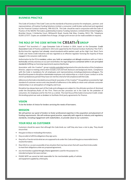#### **BUSINESS PRACTICE**

This Code of Conduct ("the Code") sets out the standards of business practice for employees, partners and representatives ofCreative Funding Solutions Limited, a consumer credit broker authorised and regulated by the Financial Conduct Authority, FRN 631176. The Code should be read in conjunction with the Code of Practice of the NACFB. The Code is published by Creative Funding Solutions Limited of the United Kingdom, Bramber House, 3 Amberley Court, Whitworth Road, County Oak Way, Crawley, RH11 7XL. Telephone 01293 127377. Copies are available free of charge. (A larger print version can be made available on request).

# THE ROLE OF THE CODE WITHIN THE **CREATIVE** GROUP

Creative™ first launched a 7- page Consumer Code of Conduct in 2014, based on the Consumer Credit Association Code of Practice published in 2013 and supported by the Financial Conduct Authority ("the FCA"). By thistime the regulator had already raised standards within sectors such asthe High Cost Short-Term Credit and Home Credit Industries and was regarded as an effective regulator licensing the majority of those engaged in the consumer credit market.

Authorisation by the FCA is mandatory unless you hold an exemption and although compliance with our Code is technically entirely voluntary on our part nevertheless the legal obligations contained within it are principled standards fulfilling our licensing requirements as prescribed by law.

Association with the Creative™ group isstrictly controlled and granted at the sole discretion ofthe Compliance Director, subject to meeting criteria which includes a full and frank disclosure and background checks. Compliance with the Code is mandatory for all employees and representatives, including probationary colleagues. The Boardhasthepowerto discipline or terminate employees and relationships as a result of poor conduct or at the end of a probationary period ifthey have not metthecriteria forfull compliancewiththeCode.

AdherencetotheCodeisintendedtoensurethatall associates of the Creative™ Groupdeliveraconsistently high standard of customer service and a key benefit of adherence is the ability to retain and cultivate consumer relationships in an atmosphere of integrity and trust.

Discipline has always been part of the Code and colleagues are subject to the ultimate sanction of dismissal under the Disciplinary Rules of the Firm. There are due processes set in the Code for the protection of consumers, for employees and for the Firm as a whole. The main focus of the Code is Consumer Credit. Under thislendingsystemwe seek as brokers to facilitate third party agreements for finance.

#### **VISION**

To be the broker of choice for lenders servicing the needs of borrowers.

#### **MISSION**

We will partner our panel of lenders to foster professional expertise in the acquisition and placement of funding requirements. We will embrace good practice, especially with regards to industry and regulatory standards, including engagement with stakeholders, to provide value to our customers.

# **YOUR ROLE AS CUSTOMER**

Customers should be aware that although this Code binds our staff they also have a role to play. They should ensure that:

- they give no false or misleading information;
- they are able to fulfil the obligations they sign up to;
- they tell us if we do not do what we are supposed to do under this Code and they give us reasonable time to resolvethematter;
- they inform us assoon as possible of any situation that may have arisen that will causethemtobeunable to meet their obligations under any proposed agreement;
- any merchandise supplied through a finance agreement is used for the purpose it is intended and given fair wear and tear;
- PLEASE NOTE we cannot be held responsible for the merchantable quality of vehicles and equipment supplied by a third party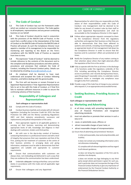# **1. The Code of Conduct**

- **1.1** This Code of Conduct lays out the framework under which we conduct our consumer business. The Code applies to all employees, representatives and any person conducting business on our behalf.
- **1.2** This Code of Conduct should be read in conjunction with the provisions of the NACFB Code of Practice. In the event that a conflict arises in the interpretation of the Code of Conduct or the NACFB Code of Practice the NACFB Code of Practice will prevail. As such the Compliance Director must appoint a member of its management to be responsible for monitoring and reporting to the Board on the Firm's compliance with the NACFB Code of Practice as required from time to time.
- **1.3** The expression "Code of Conduct" shall be deemed to include reference to the contents of this document and to the complaint and disciplinary procedures and other policies, procedures and processes that underpin the Code of Conduct, including the Financial Conduct policy. Details can be obtained by emailin[g director@creativefs.co.uk.](mailto:director@creativefs.co.uk)
- **1.4** An employee shall be deemed to have read, understood and accepted the Code of Conduct following induction, and before dealing with the general public.
- **1.5** The Firm will not become or remain Principal to an Appointed Representative if that Appointed Representative fails to act in line with this Code of Conduct, or if that firm fails to maintain sufficient resources in order to secure the continuing solvency of their business

# **2. Responsibility of Colleagues and Representatives**

#### **Each colleague or representative shall:**

- 2.1 Comply with this Code of Conduct.
- **2.2** Conduct business lawfully and comply with all relevant legislation (including the Consumer Credit Act 1974, the Data Protection Act 1998 and the Money Laundering Regulations 2007, and their statutory amendments, successors and replacements) and judicial interpretation of the same.
- **2.3** Have appropriate regards to all applicable guidance In carrying out their business, exercising and demonstrating appropriate levels of skill, knowledge and diligence in their dealings with customers, lenders and third parties.
- **2.4** Act with care in the day-to-day conduct of business, conducting themselves in a professional manner and with a level of integrity that preserves their own reputation and that of the Firm, putting the fair treatment of customers at the centre of their business activities. In arranging deals and giving information, employees must be able to demonstrate that their suggestions are suitable and appropriate to customer requirements.
- **2.5** Ensure that communications with customers are always clear, not misleading and delivered in such a way that they can evidence the communication has been understood.
- **2.6** Undertake adequate trainingsothatthey carry out their duties in accordance with this Code and all applicable legal requirements.
- **2.7** Ensure that colleagues and any Appointed

Representative for which they are responsible are fully aware of their responsibilities under this Code of Conduct. Line management shall be deemed to be liable for any breach of conduct rules by their staff or by such Appointed Representative and shall be accountable to the Compliance Director in this regard.

- **2.8** Follow where appropriate requests conveyed to them by the Compliance Director from the regulatory authorities and organise their business so that they are able to demonstrate that they have adhered to systems and controls, including record keeping, as well as appropriate levels of risk management laid down by the Compliance Director in order to ensure that the business and its customers' affairs are protected at all times.
- **2.9** Notify the Compliance Director of any matters coming to their attention about others that might adversely affect the reputation of the Firm or the sector.
- **2.10** Fully co-operate with the Firm at all times in the discharge of its functions under the regulatory umbrella of the FCA, including permitting the Compliance Director access to premises and records during business hours, upon the giving of reasonable notice, to undertake routine compliance checks or investigate any compliance issue brought to the Firm's attention.
- **2.11** Provide a copy of this Code free of charge to any customer whorequests it, in an appropriate and accessible format.

# **3. Seeking Business, Providing Access to Credit**

**Each colleague or representative shall:**

#### **3.1 Marketing and Advertising**

- (i) at all times comply with prevailing legislation in the area of Financial Promotions and recognised advertising standards.
- (ii) must not advertise or promote their services in such a way as to:
	- cause, or potentially cause, offence; or
	- attract reasonable charges of poor taste; or
	- attract reasonable charges of misrepresentation.

(a) Ensure that all advertising and promotional literature:

i) is fair and reasonable, clear and comprehensible, and truthful;

ii) does not contain any misleading information and is not otherwise misleading;

iii) complies with all relevant legislation and has regard to all relevant guidance;

iv) does not bring the reputation of the Firm and its activities into disrepute;

v) does not include any logo belonging to any third party except where permission is given for such use, and in particular does not incorporate the logo of the Financial Conduct Authority or give any impression of endorsement by the Financial Conduct Authority or the Financial Ombudsman Service;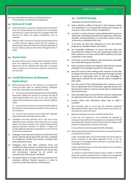(b) Ensure the guidelines in relation to Selling by Electronic Communication are followed (see Appendix A).

# **3.2 Refusal of Credit**

- (a) Ensure that where a customer is refused credit and makes it clear that he/she believes the refusal to be unreasonable and requests it, is given the name of a manager within the business by whom the process of application may be reviewed.
- (b) Where credit is refused on the basis of information from a credit reference agency, ensure that the customer is advisedofthiswhentold oftherefusal and providedetails of how to challenge adverse information held against them if asked.

#### **3.3 HomeVisits**

No Home Visits are to be made until the customer has been given the opportunity to review any potential finance agreement and has indicated that they wish to proceed, unless a request to visit has been received in writing from the customer.

# **3.4 Credit Worthiness & Adequate Explanations**

(a) Before granting credit or hire facilities (or increasing the amount of credit under an existing facility), colleagues must take reasonable and proportionate steps:

(i) tocarryoutareasonableandproportionateaffordability assessment (taking into account, for instance, the type of credit being provided, the size of the loan and other relevant circumstances) to assess the customer'sabilityto repay;

(ii) to ensure that customers are not provided with credit or hire facilities that are clearly unsuitable for their needs and circumstances;

(iii) to ensure that customers are provided with adequate explanations before the agreement is made.

- (b) Colleagues must take particular care in the case of loan applicationsfrom customers where they know or are made aware that those customers have special requirements (paying particular attention to Section 3 below) and provide additional information and guidance in a form that the customercanunderstand.
- (c) Colleagues must represent customers and all other third parties with the utmost good faith and with a standard of competence, fairness and courtesy consistent with their professional status.
- (d) Colleagues must only offer customers terms and conditions for the provision of services that are fair and reasonable for the services delivered and ensure fees and commissions received by all parties are commensurate with industry 'standards'.
- (e) The Board/ Board of Trustees will ensure that the Firm maintains sufficient financial resources in order to secure the continuing solvency of the business.

### **3.5 CreditBrokerage**

Employees and representatives must

- (a) Seek to identify conflicts of interest in their business activity and undertake to act transparently keeping the interests of customers at the centre of their considerations.
- (b) not seek, or acquire, business using methods which are (or are likely to be reasonably perceived to be) oppressive, dishonest, deceitful, misrepresentative or in any other manner contrary to the aims or standards of the Firm.
- (c) at all times use their best endeavours to only refer finance proposals to reputable lenders and funders
- (d) use reasonable endeavours to ensure that they have fully researched the market for the most appropriate solution for their customers in all cases and be able to evidence the work undertaken in this respect
- (e) at all times use all due diligence, skill and exercise reasonable care whilst effecting any instructions
- (f) keep customers properly and regularly informed and respond promptly to all reasonable requests for information
- (g) keep full records of their dealings with customers and be able to evidence that they have at all times been thorough and have exercised an appropriate level of skill and knowledge in delivering an outcome for the customer which is suitable for their needs
- (h) from the outset of their initial dealings with customers ensure that an appropriate level of disclosure regarding services and fees has been made to customers and be able to evidence that this has been done
- (i) take reasonable steps to ensure that the customer understands any agreement they enter in to and any options provided
- (j) provide Clients with information about how to make a complaint
- (k) Take reasonable steps to ensure that any Introducer Appointed Representative (IAR) or agent used will not impose any pressure on the customer to enter into a loan.
- (I) Before accepting business from any IAR for the first time:

i) carry out such inquiries as may reasonably be regarded as necessary to be satisfied with the integrity and competence of the IAR and that the IAR is listed on the FCA Financial Services Register with Creative Funding Solutions Limited as Principal;

ii) ensure that this Code is brought to the IAR's attention.

(m) Monitor generallytheactivitiesofall dealersfromwhombusinessis acceptedand in particular:

i) take reasonable steps to ensure that dealers do not persuade or permit customers to sign blank application forms, or do not encourage or knowingly permit customers to provide false or misleading information;

ii) take reasonable steps to ensure that dealers act in accordance withthe FCA Handbook;

iii) decline to accept further business where a dealer or IAR falls below the requisite standards of law, integrity and competence or fails to comply with the applicable provisions of this Code.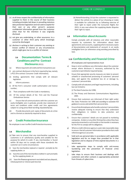### CODE OF CONDUCT

- (n) at all times respect the confidentiality of information supplied to them in the course of their business including principles laid down in prevailing statutory data protection legislation and not seek to exploit for their own or any other person's purposes confidential information gained from the customer other than for the intention it was originally disclosed.
- (o) not give any undertaking, or other assurance, to a customer or other third party which knowingly cannot be discharged.
- (p) disclose in writing to their customer any existing or known conflict of interest or any circumstances which might give rise to a conflict of interest

# **3.6 Documentation: Terms & Conditions and Pre- Contract Disclosures** (PCCI)

- (a) Where required in all credit and hire transactions use:
- (i) pre-contract disclosure in the form required by law, namely a PCCI (Pre-contract Consumer Credit Information);
- (ii) lending agreements that comply with all relevant legislation.
- (b) Informcustomers:
- (i) Of the Firm's consumer credit authorisation and licence number;
- (ii) That compliance with this Code is mandatory;
- (iii) Of the contact details of the Firm and the Financial Ombudsman Service
- (c) Ensure that all communications with the customer are easily intelligible and, in particular, provide clear statements of terms and conditions under credit and hire agreements subject to using prescribed wording stipulated by law.
- (d) Provide documents and copies of documents at a time and in a format as statutorily required to doso.

#### **3.7 Credit ProtectionInsurance**

No employee is ever to offer Credit Protection Insurance.

# **3.8 Merchandise**

- (a) Take care to ensure that any merchandise supplied to customers is of satisfactory quality and suitable for the purpose for which it is sold. If any merchandise is found within 30 days not to comply with these standards the customer can in some circumstances:
- have the merchandise replaced or repaired promptly by the supplying dealer; or
- (ii) have the cost of the merchandise credited in part promptly by the supplying dealer; or
- (iii) have the finance agreement rescinded and any deposit, initial payment or interest paid returned.

(b) Notwithstanding 2.8 (a) the customer is requested to deliver the vehicle to a place of our choosing or make it available for collection by us following exercise of their right to reject under the Consumer Rights Act 2015, in any case where the supplying dealer disputes their right to reject.

# **3.9 Information aboutAccounts**

Comply promptly with all statutory and other reasonable requests by customers for information about their agreements and accounts, supplyingwhere necessary copies of documentation and statements of account in an easily intelligible form (or otherwise using wording prescribed by law).

# **3.10 Confidentiality and Financial Crime**

#### All employees and representatives must

- a) Keep in strict confidence any information about the customer except where disclosure is necessary, authorised by the customerorpermittedorrequired bylaw.
- b) Ensure that appropriate security measures are taken to prevent unlawful or unauthorised processing of customers' personal data, and against the accidental loss of, or damage to, customers' personal data.
- c) Comply with all statutory and legal requirements, including but not limited to:

(i) The Data Protection Act 1998;

- (ii) The Privacy and Electronic Communications Regulations 2003.
- d) Ensure that customers are informed of their right under the Data Protection Act 1998 and according to successive ICO guidance to access and control their personal data.
- e) Ensurethatallemployeeswhohandlecustomers'personaldata receive adequate training to ensure that they understand their obligations in relation to data protection and confidentiality.
- f) Ensure that customers' details are not passed to marketing companies, brokers or any other third parties unless they have expresslyconsented to suchtransfer or the transfer is necessary for the Firm to comply with its obligations.
- g) Where a credit reference agency is used, take reasonable steps to ensure that all customerinformation provided to that credit referenceagencyis accurate.
- h) hold and use personal data in accordance with applicable legislation and for no longer than provided for in that legislation and to dispose of time expired documents in a secure way.
- i) take appropriate steps to comply with anti-money laundering and the prevention of financial crime legislation.
- j) take steps to ensure their business and dealings with customers and other contacts is appropriately protected from threats of cybercrime.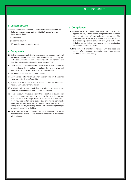## CODE OF CONDUCT

## **4. CustomerCare**

Membersshould follow the BRUCE protocol to identify and ensure that extra care and guidance is provided to those customers who they suspect to have:

- (i) adisability;
- (ii) poor literacyskills;
- (iii) limited or impaired mental capacity.

# **5. Complaints**

- **5.1** We have appropriate and effective internal procedures for dealing with all customer complaints in accordance with the steps laid down by this Code (see Appendix B), and comply with rules or standards laid down by the FCA or Financial Ombudsman Service ("FOS").
- **5.2** These complaints procedures must be disclosed to customers in full and in writing, at the point-of-sale as well as in the pre-contractual and contractual material given to customers, and must include:
- (i) Full contact details for the complaints service;
- (ii) Any reasonable information customers must provide, which must not involve excessive detail or form-filling;
- (iii) A reasonable timescale in which complaints will be dealt with, including a timescale for its resolution;
- (iv) Details of available methods of alternative dispute resolution in the event that the member is unable to satisfy the customer.
- **5.3** These procedures must state clearly that in addition to the internal complaints procedure, the customer has the right to refer any dispute to the FOS after eight weeks. We will ensure that we donot in any way lead customers to believe that any internal complaints procedure is a substitute for a complaint to the FOS, nor should colleagues in any way discourage customers from exercising theirright to take their complaint to the FOS.
- **5.4** We willensurethatallourrelevantstaffandagentsare trainedinthe steps they must take to handle customer complaints in accordance with thisCode.

## **6. Compliance**

- **6.1** Colleagues must comply fully with this Code and its Appendices. Any instance of non-compliance shall be drawn to the attention of the colleague concerned. The Compliance Director has the power to adjudicate and to take action against non-compliant colleagues and agents, including but not limited to censure, retraining, termination, suspension of pay and dismissal.
- **6.2** The Firm shall monitor compliance with this Code and outcomes for customers on an ongoing basis and may produce an annual report on its findings.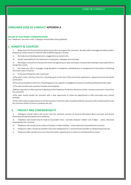#### CODE OF CONDUCT

# **CONSUMER CODE OF CONDUCT APPENDIX A**

#### **SELLING BY ELECTRONIC COMMUNICATION**

(incl. telephone, text and e-mail) Colleagues should follow these guidelines:

#### **1. HONESTY & COURTESY**

i) Make clear from the outset the purpose of any call or message to the consumer. No sales calls or messages should be made in the guise of market research or with the offer of different goods or services.

ii) Not make any misleading statements, exaggerations or partial truths.

iii) Accept responsibility for the statements of employees, colleagues and associates.

iv) Notsubject consumersto harassment either by high pressure sales techniques or by persistent attemptsto persuade themto change their minds.

v) Not make any calls or messages using deception to telephone switchboards or to receptionistsforthe purpose of obtaining information about consumers.

vi) In the case of telephone calls in particular:

a) The caller's name, and that of the Firm, should be given at the start of the call and be repeated on request at any time during the conversation.

b)The name and address of the Firm should appear on our website to enablethe consumer to verify the authenticity of the caller.

c) The caller should answer questions honestly and completely.

d)When requested, or when a person is signed up to the Telephone Preference Service or similar, remove a consumer's name from the contact list.

e)The caller should provide the consumer with a clear opportunity to refuse any appointment or offer and accept such a refusal promptly.

f) If the caller makes an appointment to visit the consumer's home the caller should provide the consumer with a contact point in case the consumer wishes to cancel or postpone the visit.

# **2. PRIVACY AND CONFIDENTIALITY**

i) Colleagues should collect and record only the minimum amount of personal information about consumers and all such information should be treated in strict confidence.

ii) Telephone calls should only be made at reasonable times - normally between 9.00am and 5.00pm - unless otherwise requested by the consumer.

- iii) Telephone calls should not be made on Sundays or Public Holidays unless otherwise requested by the consumer.
- iv) Telephone callers should ask whether they have telephoned at a convenienttime and offerto call back ifthey have not.
- v) Telephone callers should try to ensure that information, appointments or orders are not obtained from minors.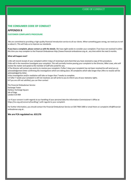# **THE CONSUMER CODE OF CONDUCT**

**APPENDIX B**

# **CUSTOMER COMPLAINTS PROCEDURE**

We are committed to providing a high-quality financial introduction service to all our clients. When something goes wrong, we need you to tell us about it. This will help us to improve our standards.

**If you have a complaint, please contact us with the details.** We have eight weeks to consider your complaint. If we have not resolved it within this time you may complain to the Financial Ombudsman http://www.financial-ombudsman.org.uk , any time within the next 6 months.

#### **What will happen next?**

1.We will record receipt of your complaint within 5 days of receiving it and check that you have received a copy of this procedure. 2.We will in the meantime investigate your complaint. This will normally involve passing your complaint to the Director, Mike Lowe, who will review the matter and speak to the member of staff who acted for you.

3.The Director will contact you and try to resolve your complaint. If after 5 days your complaint has not been resolved he will send you an acknowledgement letter confirming the investigations which are taking place. All complaints which take longer than 24hrs to resolve will be acknowledged by letter.

4.Any investigation and/or mediation will take no longer than 7 weeks to complete.

5.If after 7 weeks your complaint is still not resolved, we will write to you to inform you of your statutory rights.

6.If you are still not satisfied, you can then contact

The Financial Ombudsman Service Exchange Tower Harbour Exchange Square Isle of Dogs London E14 9SR

( or if your concern is with regards to our handling of your personal data the Information Commissioner's Office at https://ico.org.uk/concerns/handling/ ) with regards to your complaint.

For further information, you should contact the Financial Ombudsman Service on 020 7964 1000 or email them on complaint.info@financialombudsman.org.uk .

#### **We are FCA regulated no. 631176**